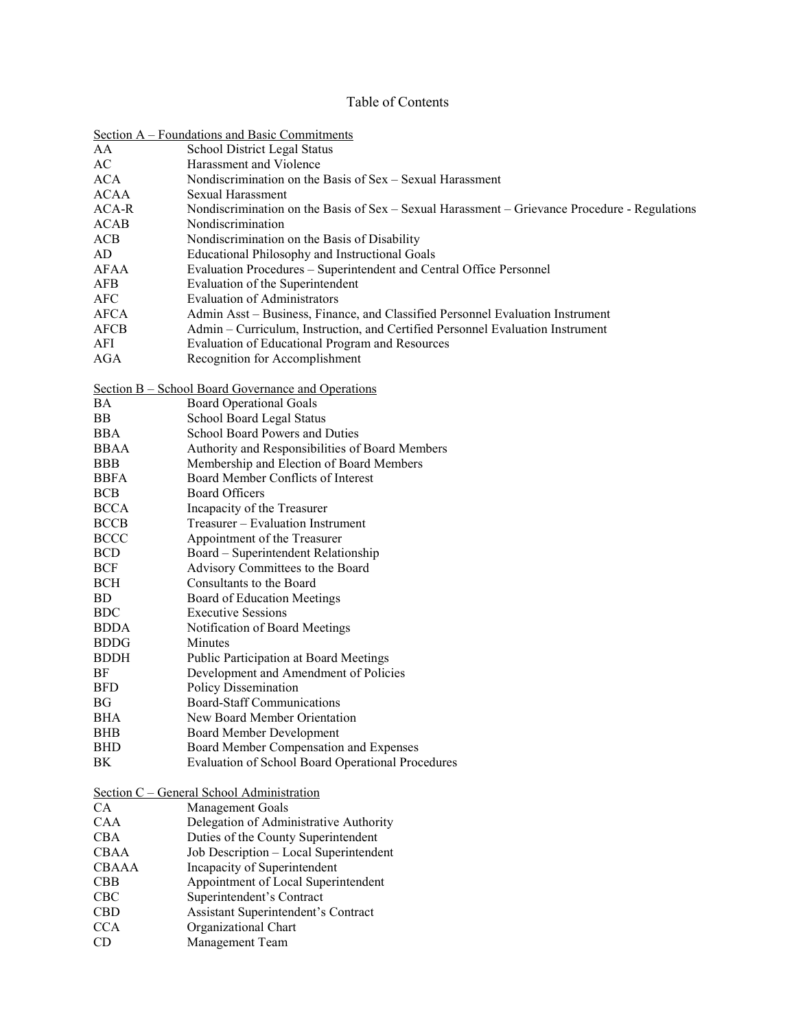## Table of Contents

| Section A – Foundations and Basic Commitments |                                                                                               |
|-----------------------------------------------|-----------------------------------------------------------------------------------------------|
| AA                                            | School District Legal Status                                                                  |
| AC                                            | Harassment and Violence                                                                       |
| <b>ACA</b>                                    | Nondiscrimination on the Basis of Sex - Sexual Harassment                                     |
| <b>ACAA</b>                                   | <b>Sexual Harassment</b>                                                                      |
| ACA-R                                         | Nondiscrimination on the Basis of Sex - Sexual Harassment - Grievance Procedure - Regulations |
| ACAB                                          | Nondiscrimination                                                                             |
| ACB                                           | Nondiscrimination on the Basis of Disability                                                  |
| AD                                            | <b>Educational Philosophy and Instructional Goals</b>                                         |
| AFAA                                          | Evaluation Procedures - Superintendent and Central Office Personnel                           |
| <b>AFB</b>                                    | Evaluation of the Superintendent                                                              |
| <b>AFC</b>                                    | <b>Evaluation of Administrators</b>                                                           |
| <b>AFCA</b>                                   | Admin Asst – Business, Finance, and Classified Personnel Evaluation Instrument                |
| <b>AFCB</b>                                   | Admin – Curriculum, Instruction, and Certified Personnel Evaluation Instrument                |
|                                               |                                                                                               |
| AFI                                           | Evaluation of Educational Program and Resources                                               |
| AGA                                           | Recognition for Accomplishment                                                                |
|                                               | Section B - School Board Governance and Operations                                            |
| BA                                            | <b>Board Operational Goals</b>                                                                |
| BB                                            | School Board Legal Status                                                                     |
| <b>BBA</b>                                    | School Board Powers and Duties                                                                |
| <b>BBAA</b>                                   | Authority and Responsibilities of Board Members                                               |
| <b>BBB</b>                                    |                                                                                               |
|                                               | Membership and Election of Board Members<br>Board Member Conflicts of Interest                |
| <b>BBFA</b>                                   | <b>Board Officers</b>                                                                         |
| <b>BCB</b>                                    |                                                                                               |
| <b>BCCA</b>                                   | Incapacity of the Treasurer                                                                   |
| <b>BCCB</b>                                   | Treasurer - Evaluation Instrument                                                             |
| <b>BCCC</b>                                   | Appointment of the Treasurer                                                                  |
| <b>BCD</b>                                    | Board – Superintendent Relationship                                                           |
| <b>BCF</b>                                    | Advisory Committees to the Board                                                              |
| <b>BCH</b>                                    | Consultants to the Board                                                                      |
| <b>BD</b>                                     | Board of Education Meetings                                                                   |
| <b>BDC</b>                                    | <b>Executive Sessions</b>                                                                     |
| <b>BDDA</b>                                   | Notification of Board Meetings                                                                |
| <b>BDDG</b>                                   | Minutes                                                                                       |
| <b>BDDH</b>                                   | Public Participation at Board Meetings                                                        |
| BF                                            | Development and Amendment of Policies                                                         |
| <b>BFD</b>                                    | <b>Policy Dissemination</b>                                                                   |
| <b>BG</b>                                     | Board-Staff Communications                                                                    |
| <b>BHA</b>                                    | New Board Member Orientation                                                                  |
| <b>BHB</b>                                    | <b>Board Member Development</b>                                                               |
| <b>BHD</b>                                    | Board Member Compensation and Expenses                                                        |
| BK                                            | Evaluation of School Board Operational Procedures                                             |
|                                               |                                                                                               |
|                                               | Section C - General School Administration                                                     |
| <b>CA</b>                                     | <b>Management Goals</b>                                                                       |
| CAA                                           | Delegation of Administrative Authority                                                        |
| <b>CBA</b>                                    | Duties of the County Superintendent                                                           |
| <b>CBAA</b>                                   | Job Description - Local Superintendent                                                        |
| <b>CBAAA</b>                                  | Incapacity of Superintendent                                                                  |
| CBB                                           | Appointment of Local Superintendent                                                           |
| CBC                                           | Superintendent's Contract                                                                     |
| <b>CBD</b>                                    | Assistant Superintendent's Contract                                                           |
| <b>CCA</b>                                    | Organizational Chart                                                                          |
| CD                                            | Management Team                                                                               |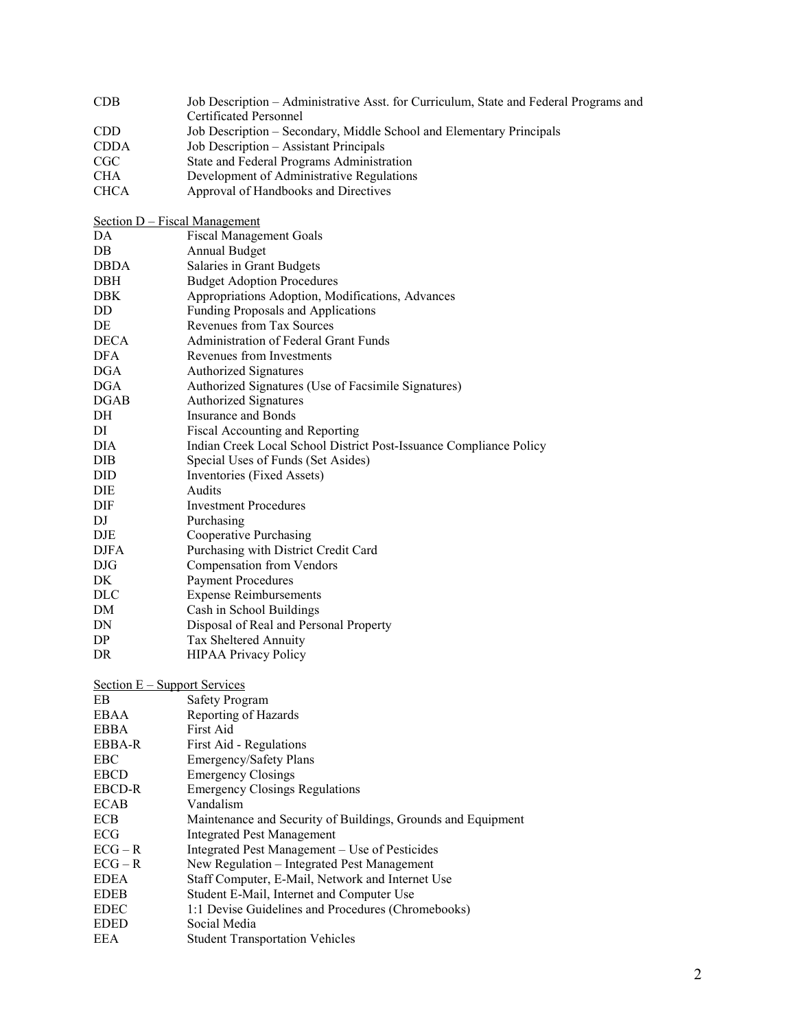| CDB                           | Job Description - Administrative Asst. for Curriculum, State and Federal Programs and<br><b>Certificated Personnel</b> |
|-------------------------------|------------------------------------------------------------------------------------------------------------------------|
| <b>CDD</b>                    | Job Description - Secondary, Middle School and Elementary Principals                                                   |
| <b>CDDA</b>                   | Job Description - Assistant Principals                                                                                 |
| CGC                           | State and Federal Programs Administration                                                                              |
| CHA                           | Development of Administrative Regulations                                                                              |
| <b>CHCA</b>                   | Approval of Handbooks and Directives                                                                                   |
|                               |                                                                                                                        |
| Section D – Fiscal Management |                                                                                                                        |
| DA                            | <b>Fiscal Management Goals</b>                                                                                         |
| DB                            | Annual Budget                                                                                                          |
| <b>DBDA</b>                   | Salaries in Grant Budgets                                                                                              |
| DBH                           | <b>Budget Adoption Procedures</b>                                                                                      |
| DBK                           | Appropriations Adoption, Modifications, Advances                                                                       |
| DD                            | Funding Proposals and Applications                                                                                     |
| DE                            | Revenues from Tax Sources                                                                                              |
| <b>DECA</b>                   | Administration of Federal Grant Funds                                                                                  |
| DFA                           | Revenues from Investments                                                                                              |
| <b>DGA</b>                    | <b>Authorized Signatures</b>                                                                                           |
| DGA                           | Authorized Signatures (Use of Facsimile Signatures)                                                                    |
| <b>DGAB</b>                   | <b>Authorized Signatures</b>                                                                                           |
| DH                            | <b>Insurance and Bonds</b>                                                                                             |
| DI                            | Fiscal Accounting and Reporting                                                                                        |
| DIA                           | Indian Creek Local School District Post-Issuance Compliance Policy                                                     |
| DIB                           | Special Uses of Funds (Set Asides)                                                                                     |
| DID                           | Inventories (Fixed Assets)                                                                                             |
| DIE                           | Audits                                                                                                                 |
| DIF                           | <b>Investment Procedures</b>                                                                                           |
| DJ                            | Purchasing                                                                                                             |
| DJE                           | Cooperative Purchasing                                                                                                 |
| <b>DJFA</b>                   | Purchasing with District Credit Card                                                                                   |
| <b>DJG</b>                    | <b>Compensation from Vendors</b>                                                                                       |
| DK                            | <b>Payment Procedures</b>                                                                                              |
| <b>DLC</b>                    | <b>Expense Reimbursements</b>                                                                                          |
| DM                            | Cash in School Buildings                                                                                               |
| DN                            | Disposal of Real and Personal Property                                                                                 |
| DP                            | Tax Sheltered Annuity                                                                                                  |
| DR                            | <b>HIPAA Privacy Policy</b>                                                                                            |
|                               |                                                                                                                        |
| Section E - Support Services  |                                                                                                                        |
| EB                            | <b>Safety Program</b>                                                                                                  |
| <b>EBAA</b>                   | Reporting of Hazards                                                                                                   |
| <b>EBBA</b>                   | First Aid                                                                                                              |
| EBBA-R                        | First Aid - Regulations                                                                                                |
| EBC                           | Emergency/Safety Plans                                                                                                 |
| <b>EBCD</b>                   | <b>Emergency Closings</b>                                                                                              |
| EBCD-R                        | <b>Emergency Closings Regulations</b>                                                                                  |
| <b>ECAB</b>                   | Vandalism                                                                                                              |
| ECB                           | Maintenance and Security of Buildings, Grounds and Equipment                                                           |
| ECG                           | <b>Integrated Pest Management</b>                                                                                      |
| $ECG - R$                     | Integrated Pest Management - Use of Pesticides                                                                         |
| $ECG - R$                     | New Regulation - Integrated Pest Management                                                                            |
| <b>EDEA</b>                   | Staff Computer, E-Mail, Network and Internet Use                                                                       |
| <b>EDEB</b>                   | Student E-Mail, Internet and Computer Use                                                                              |
| <b>EDEC</b>                   | 1:1 Devise Guidelines and Procedures (Chromebooks)                                                                     |
| <b>EDED</b>                   | Social Media                                                                                                           |
| EEA                           | <b>Student Transportation Vehicles</b>                                                                                 |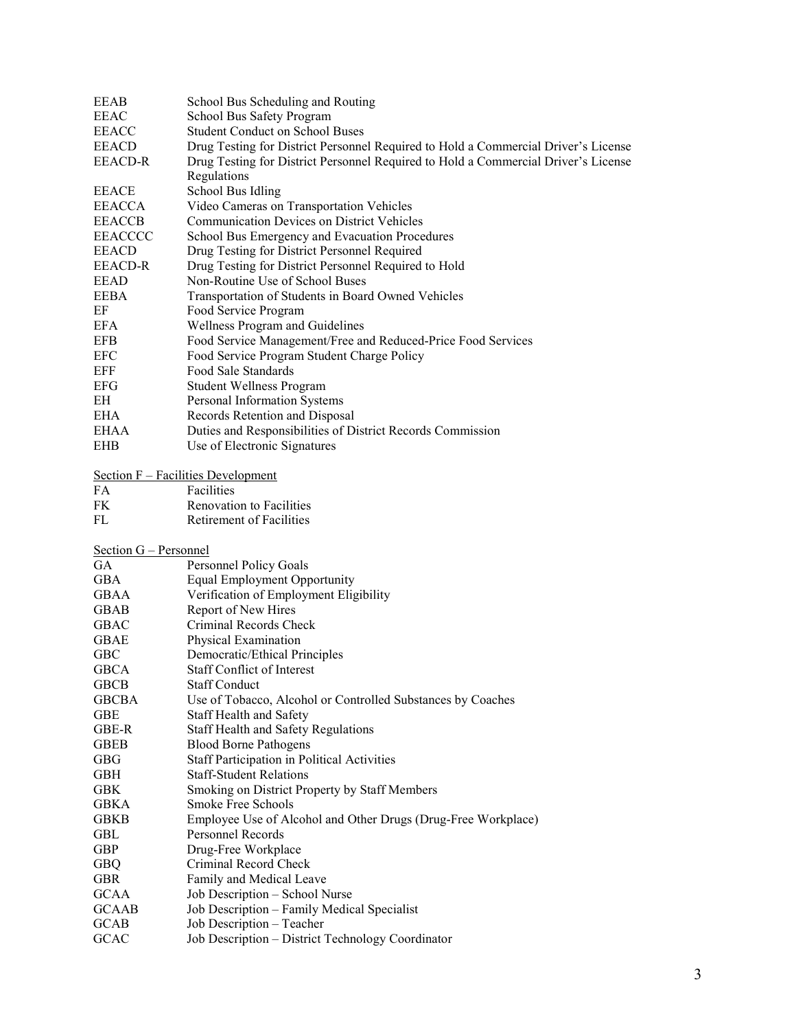| EEAB                        | School Bus Scheduling and Routing                                                  |
|-----------------------------|------------------------------------------------------------------------------------|
| <b>EEAC</b>                 | School Bus Safety Program                                                          |
| <b>EEACC</b>                | <b>Student Conduct on School Buses</b>                                             |
| <b>EEACD</b>                | Drug Testing for District Personnel Required to Hold a Commercial Driver's License |
| <b>EEACD-R</b>              | Drug Testing for District Personnel Required to Hold a Commercial Driver's License |
|                             | Regulations                                                                        |
| <b>EEACE</b>                | School Bus Idling                                                                  |
|                             |                                                                                    |
| EEACCA                      | Video Cameras on Transportation Vehicles                                           |
| <b>EEACCB</b>               | <b>Communication Devices on District Vehicles</b>                                  |
| <b>EEACCCC</b>              | School Bus Emergency and Evacuation Procedures                                     |
| <b>EEACD</b>                | Drug Testing for District Personnel Required                                       |
| <b>EEACD-R</b>              | Drug Testing for District Personnel Required to Hold                               |
| EEAD                        | Non-Routine Use of School Buses                                                    |
| EEBA                        | Transportation of Students in Board Owned Vehicles                                 |
| EF                          | Food Service Program                                                               |
| <b>EFA</b>                  | Wellness Program and Guidelines                                                    |
| <b>EFB</b>                  | Food Service Management/Free and Reduced-Price Food Services                       |
| EFC                         | Food Service Program Student Charge Policy                                         |
| EFF                         | Food Sale Standards                                                                |
| <b>EFG</b>                  | Student Wellness Program                                                           |
| ΕH                          | Personal Information Systems                                                       |
| EHA                         | Records Retention and Disposal                                                     |
| EHAA                        | Duties and Responsibilities of District Records Commission                         |
| <b>EHB</b>                  | Use of Electronic Signatures                                                       |
|                             |                                                                                    |
|                             | Section F – Facilities Development                                                 |
| FA                          | Facilities                                                                         |
| FK                          | <b>Renovation to Facilities</b>                                                    |
| FL                          | <b>Retirement of Facilities</b>                                                    |
|                             |                                                                                    |
|                             |                                                                                    |
|                             |                                                                                    |
| Section G - Personnel<br>GA |                                                                                    |
|                             | Personnel Policy Goals                                                             |
| GBA                         | Equal Employment Opportunity                                                       |
| <b>GBAA</b>                 | Verification of Employment Eligibility                                             |
| <b>GBAB</b>                 | Report of New Hires                                                                |
| GBAC                        | Criminal Records Check                                                             |
| <b>GBAE</b>                 | Physical Examination                                                               |
| <b>GBC</b>                  | Democratic/Ethical Principles                                                      |
| <b>GBCA</b>                 | <b>Staff Conflict of Interest</b>                                                  |
| <b>GBCB</b>                 | <b>Staff Conduct</b>                                                               |
| <b>GBCBA</b>                | Use of Tobacco, Alcohol or Controlled Substances by Coaches                        |
| GBE                         | Staff Health and Safety                                                            |
| GBE-R                       | Staff Health and Safety Regulations                                                |
| <b>GBEB</b>                 | <b>Blood Borne Pathogens</b>                                                       |
| <b>GBG</b>                  | <b>Staff Participation in Political Activities</b>                                 |
| <b>GBH</b>                  | <b>Staff-Student Relations</b>                                                     |
| <b>GBK</b>                  | Smoking on District Property by Staff Members                                      |
| <b>GBKA</b>                 | Smoke Free Schools                                                                 |
| <b>GBKB</b>                 | Employee Use of Alcohol and Other Drugs (Drug-Free Workplace)                      |
| GBL                         | Personnel Records                                                                  |
| GBP                         | Drug-Free Workplace                                                                |
| <b>GBQ</b>                  | Criminal Record Check                                                              |
| <b>GBR</b>                  | Family and Medical Leave                                                           |
| <b>GCAA</b>                 | Job Description - School Nurse                                                     |
| <b>GCAAB</b>                | Job Description - Family Medical Specialist                                        |
| <b>GCAB</b>                 | Job Description - Teacher<br>Job Description - District Technology Coordinator     |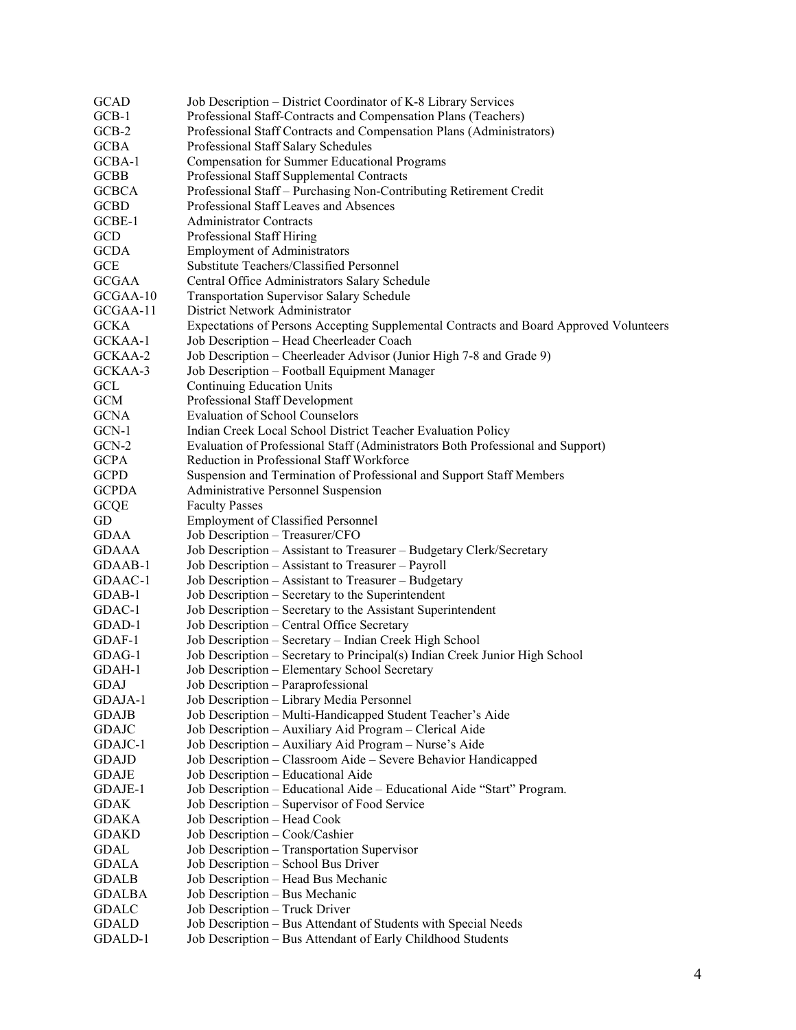| <b>GCAD</b>  | Job Description - District Coordinator of K-8 Library Services                         |
|--------------|----------------------------------------------------------------------------------------|
| $GCB-1$      | Professional Staff-Contracts and Compensation Plans (Teachers)                         |
| $GCB-2$      | Professional Staff Contracts and Compensation Plans (Administrators)                   |
| <b>GCBA</b>  | Professional Staff Salary Schedules                                                    |
| $GCBA-1$     | Compensation for Summer Educational Programs                                           |
| <b>GCBB</b>  | Professional Staff Supplemental Contracts                                              |
| <b>GCBCA</b> | Professional Staff - Purchasing Non-Contributing Retirement Credit                     |
| <b>GCBD</b>  | Professional Staff Leaves and Absences                                                 |
| GCBE-1       | <b>Administrator Contracts</b>                                                         |
| GCD          | Professional Staff Hiring                                                              |
| <b>GCDA</b>  | <b>Employment of Administrators</b>                                                    |
| <b>GCE</b>   | Substitute Teachers/Classified Personnel                                               |
| <b>GCGAA</b> | Central Office Administrators Salary Schedule                                          |
| GCGAA-10     | <b>Transportation Supervisor Salary Schedule</b>                                       |
| GCGAA-11     | District Network Administrator                                                         |
| <b>GCKA</b>  | Expectations of Persons Accepting Supplemental Contracts and Board Approved Volunteers |
| GCKAA-1      | Job Description - Head Cheerleader Coach                                               |
| GCKAA-2      | Job Description – Cheerleader Advisor (Junior High 7-8 and Grade 9)                    |
| GCKAA-3      | Job Description - Football Equipment Manager                                           |
|              |                                                                                        |
| GCL          | <b>Continuing Education Units</b>                                                      |
| <b>GCM</b>   | Professional Staff Development                                                         |
| <b>GCNA</b>  | <b>Evaluation of School Counselors</b>                                                 |
| GCN-1        | Indian Creek Local School District Teacher Evaluation Policy                           |
| $GCN-2$      | Evaluation of Professional Staff (Administrators Both Professional and Support)        |
| <b>GCPA</b>  | Reduction in Professional Staff Workforce                                              |
| <b>GCPD</b>  | Suspension and Termination of Professional and Support Staff Members                   |
| <b>GCPDA</b> | Administrative Personnel Suspension                                                    |
| <b>GCQE</b>  | <b>Faculty Passes</b>                                                                  |
| GD           | <b>Employment of Classified Personnel</b>                                              |
| <b>GDAA</b>  | Job Description - Treasurer/CFO                                                        |
| <b>GDAAA</b> | Job Description - Assistant to Treasurer - Budgetary Clerk/Secretary                   |
| GDAAB-1      | Job Description - Assistant to Treasurer - Payroll                                     |
| GDAAC-1      | Job Description - Assistant to Treasurer - Budgetary                                   |
| GDAB-1       | Job Description - Secretary to the Superintendent                                      |
| GDAC-1       | Job Description - Secretary to the Assistant Superintendent                            |
| GDAD-1       | Job Description - Central Office Secretary                                             |
| GDAF-1       | Job Description - Secretary - Indian Creek High School                                 |
| GDAG-1       | Job Description - Secretary to Principal(s) Indian Creek Junior High School            |
| GDAH-1       | Job Description - Elementary School Secretary                                          |
| GDAJ         | Job Description - Paraprofessional                                                     |
| GDAJA-1      | Job Description - Library Media Personnel                                              |
| <b>GDAJB</b> | Job Description - Multi-Handicapped Student Teacher's Aide                             |
| <b>GDAJC</b> | Job Description - Auxiliary Aid Program - Clerical Aide                                |
| GDAJC-1      | Job Description - Auxiliary Aid Program - Nurse's Aide                                 |
| <b>GDAJD</b> | Job Description - Classroom Aide - Severe Behavior Handicapped                         |
| <b>GDAJE</b> | Job Description - Educational Aide                                                     |
| GDAJE-1      | Job Description - Educational Aide - Educational Aide "Start" Program.                 |
| GDAK         | Job Description - Supervisor of Food Service                                           |
| GDAKA        | Job Description - Head Cook                                                            |
| <b>GDAKD</b> | Job Description - Cook/Cashier                                                         |
| GDAL         | Job Description - Transportation Supervisor                                            |
| <b>GDALA</b> | Job Description - School Bus Driver                                                    |
| <b>GDALB</b> | Job Description - Head Bus Mechanic                                                    |
| GDALBA       | Job Description - Bus Mechanic                                                         |
| <b>GDALC</b> | Job Description - Truck Driver                                                         |
| <b>GDALD</b> | Job Description - Bus Attendant of Students with Special Needs                         |
| GDALD-1      | Job Description - Bus Attendant of Early Childhood Students                            |
|              |                                                                                        |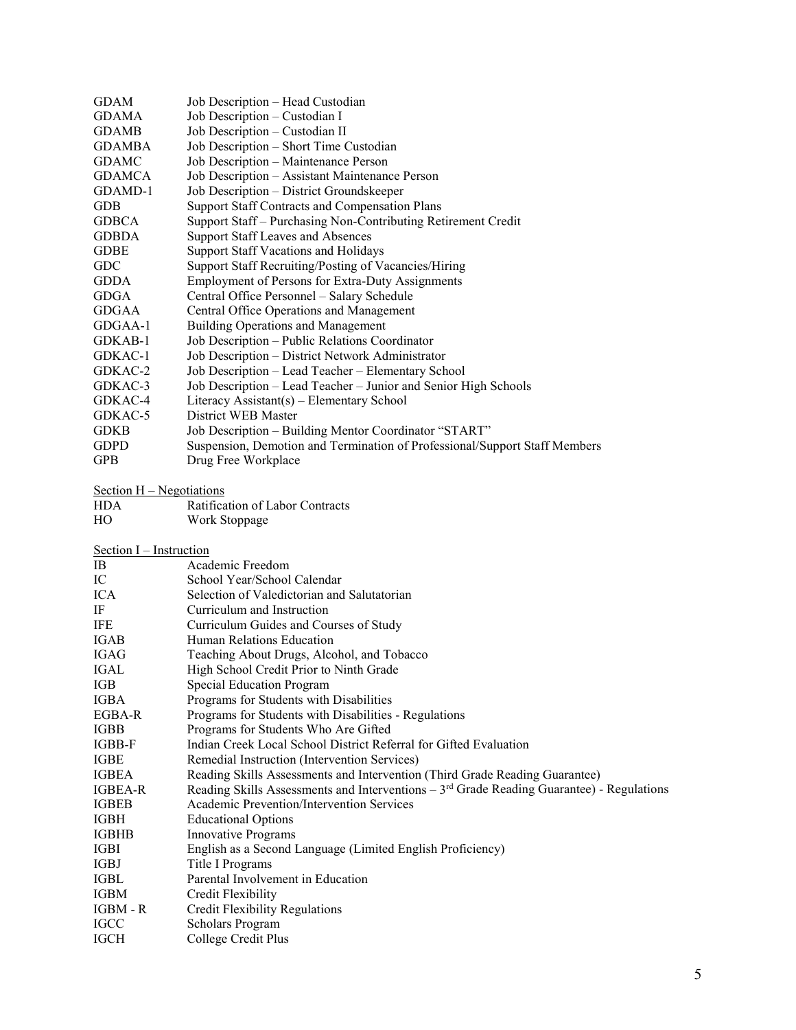| <b>GDAM</b>                | Job Description - Head Custodian                                                            |
|----------------------------|---------------------------------------------------------------------------------------------|
| <b>GDAMA</b>               | Job Description - Custodian I                                                               |
| <b>GDAMB</b>               | Job Description - Custodian II                                                              |
| <b>GDAMBA</b>              | Job Description - Short Time Custodian                                                      |
| <b>GDAMC</b>               | Job Description - Maintenance Person                                                        |
| <b>GDAMCA</b>              | Job Description - Assistant Maintenance Person                                              |
| GDAMD-1                    | Job Description - District Groundskeeper                                                    |
| GDB                        | <b>Support Staff Contracts and Compensation Plans</b>                                       |
| <b>GDBCA</b>               | Support Staff - Purchasing Non-Contributing Retirement Credit                               |
| <b>GDBDA</b>               | Support Staff Leaves and Absences                                                           |
| <b>GDBE</b>                | Support Staff Vacations and Holidays                                                        |
| GDC                        | Support Staff Recruiting/Posting of Vacancies/Hiring                                        |
| GDDA                       | Employment of Persons for Extra-Duty Assignments                                            |
| <b>GDGA</b>                | Central Office Personnel - Salary Schedule                                                  |
| <b>GDGAA</b>               | Central Office Operations and Management                                                    |
| GDGAA-1                    | <b>Building Operations and Management</b>                                                   |
| GDKAB-1                    | Job Description - Public Relations Coordinator                                              |
| GDKAC-1                    | Job Description - District Network Administrator                                            |
| GDKAC-2                    | Job Description - Lead Teacher - Elementary School                                          |
| GDKAC-3                    | Job Description - Lead Teacher - Junior and Senior High Schools                             |
| GDKAC-4                    | Literacy Assistant(s) - Elementary School                                                   |
| GDKAC-5                    | District WEB Master                                                                         |
| <b>GDKB</b>                | Job Description - Building Mentor Coordinator "START"                                       |
| <b>GDPD</b>                | Suspension, Demotion and Termination of Professional/Support Staff Members                  |
| <b>GPB</b>                 | Drug Free Workplace                                                                         |
|                            |                                                                                             |
| Section $H - Negotiations$ |                                                                                             |
| HDA.                       | Ratification of Labor Contracts                                                             |
| HO                         | Work Stoppage                                                                               |
|                            |                                                                                             |
| Section I - Instruction    |                                                                                             |
| IB                         | Academic Freedom                                                                            |
| IC                         | School Year/School Calendar                                                                 |
| <b>ICA</b>                 | Selection of Valedictorian and Salutatorian                                                 |
| IF                         | Curriculum and Instruction                                                                  |
| IFE                        | Curriculum Guides and Courses of Study                                                      |
| <b>IGAB</b>                | Human Relations Education                                                                   |
| <b>IGAG</b>                | Teaching About Drugs, Alcohol, and Tobacco                                                  |
| <b>IGAL</b>                | High School Credit Prior to Ninth Grade                                                     |
| <b>IGB</b>                 | Special Education Program                                                                   |
| <b>IGBA</b>                | Programs for Students with Disabilities                                                     |
| <b>EGBA-R</b>              | Programs for Students with Disabilities - Regulations                                       |
| <b>IGBB</b>                | Programs for Students Who Are Gifted                                                        |
| IGBB-F                     | Indian Creek Local School District Referral for Gifted Evaluation                           |
| IGBE                       | Remedial Instruction (Intervention Services)                                                |
| <b>IGBEA</b>               | Reading Skills Assessments and Intervention (Third Grade Reading Guarantee)                 |
| <b>IGBEA-R</b>             | Reading Skills Assessments and Interventions - $3rd$ Grade Reading Guarantee) - Regulations |
| <b>IGBEB</b>               | Academic Prevention/Intervention Services                                                   |
| <b>IGBH</b>                | <b>Educational Options</b>                                                                  |
| <b>IGBHB</b>               | <b>Innovative Programs</b>                                                                  |
| <b>IGBI</b>                | English as a Second Language (Limited English Proficiency)                                  |
| IGBJ                       | Title I Programs                                                                            |
| IGBL                       | Parental Involvement in Education                                                           |
| IGBM                       | Credit Flexibility                                                                          |
| IGBM - R                   | Credit Flexibility Regulations                                                              |
| IGCC                       | Scholars Program                                                                            |
| <b>IGCH</b>                | College Credit Plus                                                                         |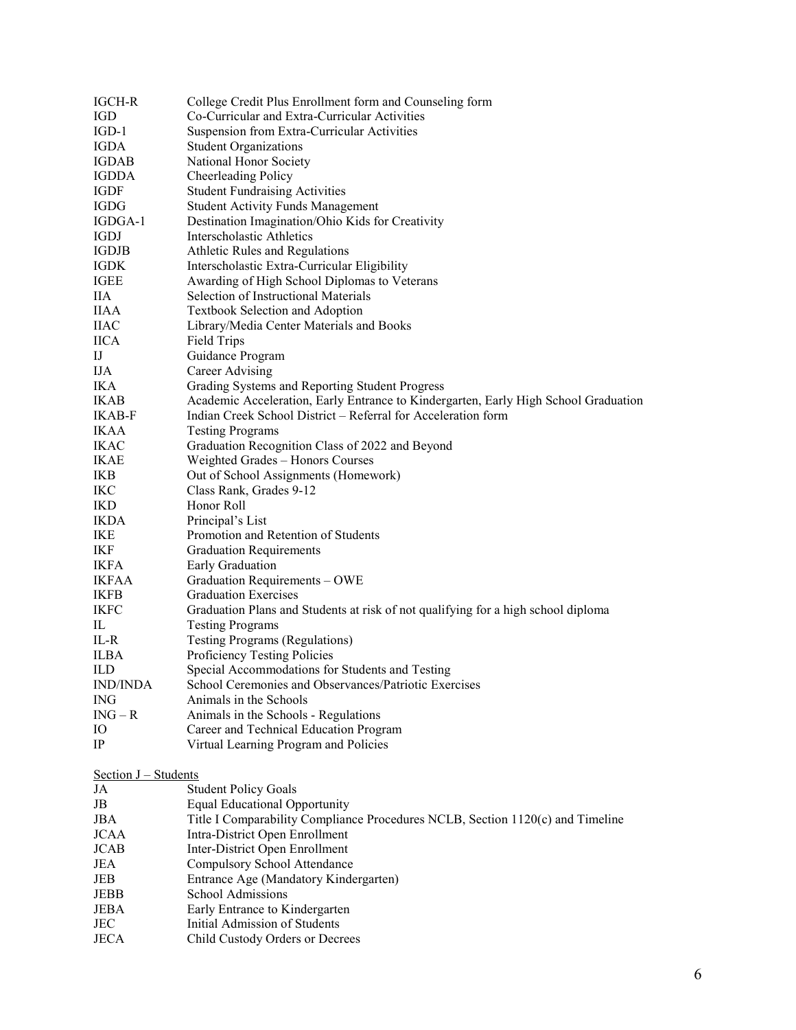| <b>IGCH-R</b>                | College Credit Plus Enrollment form and Counseling form                             |
|------------------------------|-------------------------------------------------------------------------------------|
| <b>IGD</b>                   | Co-Curricular and Extra-Curricular Activities                                       |
| $IGD-1$                      | Suspension from Extra-Curricular Activities                                         |
| <b>IGDA</b>                  | <b>Student Organizations</b>                                                        |
| <b>IGDAB</b>                 | National Honor Society                                                              |
| <b>IGDDA</b>                 | Cheerleading Policy                                                                 |
| IGDF                         | <b>Student Fundraising Activities</b>                                               |
| <b>IGDG</b>                  | <b>Student Activity Funds Management</b>                                            |
| IGDGA-1                      | Destination Imagination/Ohio Kids for Creativity                                    |
| IGDJ                         | Interscholastic Athletics                                                           |
| <b>IGDJB</b>                 | Athletic Rules and Regulations                                                      |
| IGDK                         | Interscholastic Extra-Curricular Eligibility                                        |
| <b>IGEE</b>                  | Awarding of High School Diplomas to Veterans                                        |
| <b>IIA</b>                   | Selection of Instructional Materials                                                |
| IIAA                         | Textbook Selection and Adoption                                                     |
| <b>IIAC</b>                  | Library/Media Center Materials and Books                                            |
| <b>IICA</b>                  | Field Trips                                                                         |
| IJ                           | Guidance Program                                                                    |
| <b>IJA</b>                   | Career Advising                                                                     |
| IKA                          | Grading Systems and Reporting Student Progress                                      |
| <b>IKAB</b>                  | Academic Acceleration, Early Entrance to Kindergarten, Early High School Graduation |
| <b>IKAB-F</b>                | Indian Creek School District - Referral for Acceleration form                       |
| <b>IKAA</b>                  | <b>Testing Programs</b>                                                             |
| <b>IKAC</b>                  | Graduation Recognition Class of 2022 and Beyond                                     |
| IKAE                         | Weighted Grades - Honors Courses                                                    |
| IKB                          | Out of School Assignments (Homework)                                                |
| IKC                          | Class Rank, Grades 9-12                                                             |
| <b>IKD</b>                   | Honor Roll                                                                          |
| <b>IKDA</b>                  | Principal's List                                                                    |
| IKE                          | Promotion and Retention of Students                                                 |
| IKF                          | <b>Graduation Requirements</b>                                                      |
| <b>IKFA</b>                  | Early Graduation                                                                    |
| <b>IKFAA</b>                 | Graduation Requirements - OWE                                                       |
| <b>IKFB</b>                  | <b>Graduation Exercises</b>                                                         |
| <b>IKFC</b>                  | Graduation Plans and Students at risk of not qualifying for a high school diploma   |
| IL                           | <b>Testing Programs</b>                                                             |
| IL-R                         | <b>Testing Programs (Regulations)</b>                                               |
| <b>ILBA</b>                  | Proficiency Testing Policies                                                        |
| ILD                          | Special Accommodations for Students and Testing                                     |
| <b>IND/INDA</b>              | School Ceremonies and Observances/Patriotic Exercises                               |
| <b>ING</b>                   | Animals in the Schools                                                              |
| $ING - R$                    | Animals in the Schools - Regulations                                                |
| Ю                            | Career and Technical Education Program                                              |
| $_{\rm IP}$                  | Virtual Learning Program and Policies                                               |
|                              |                                                                                     |
| $Section J - Students$<br>JA | <b>Student Policy Goals</b>                                                         |
| JB                           | <b>Equal Educational Opportunity</b>                                                |
| JBA                          | Title I Comparability Compliance Procedures NCLB, Section 1120(c) and Timeline      |
| <b>JCAA</b>                  | Intra-District Open Enrollment                                                      |
| <b>JCAB</b>                  | Inter-District Open Enrollment                                                      |
| JEA                          | Compulsory School Attendance                                                        |
| JEB                          | Entrance Age (Mandatory Kindergarten)                                               |
| JEBB                         | School Admissions                                                                   |
| JEBA                         | Early Entrance to Kindergarten                                                      |
| JEC                          | Initial Admission of Students                                                       |
|                              |                                                                                     |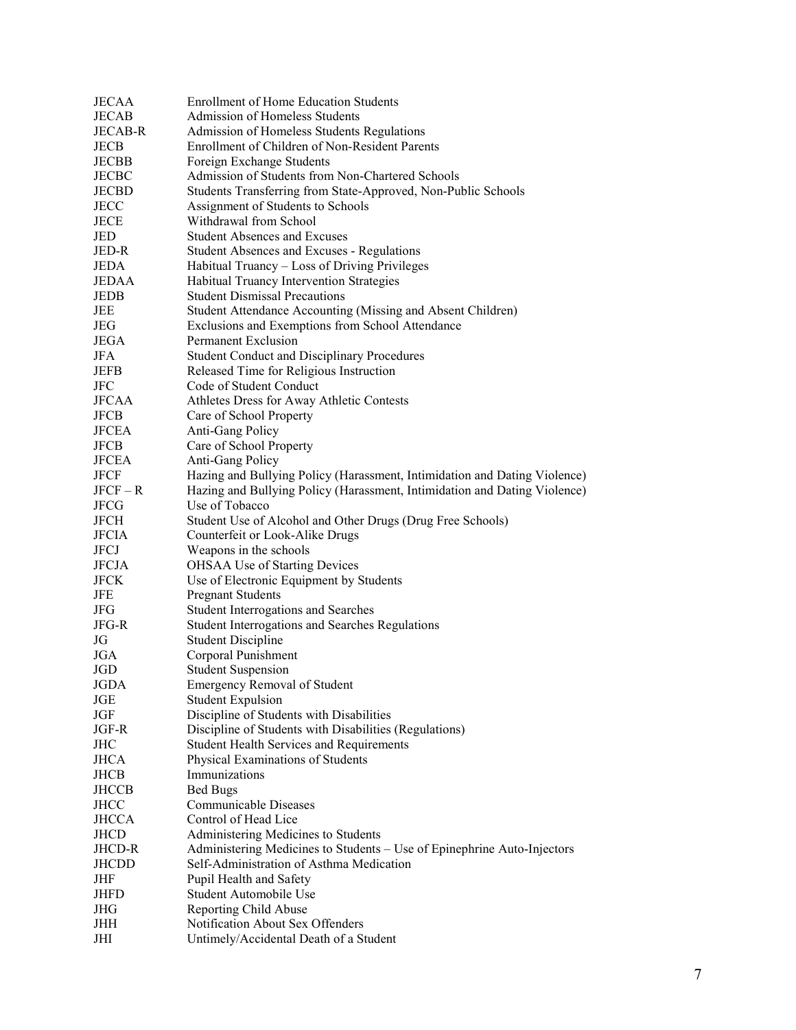| <b>JECAA</b>   | <b>Enrollment of Home Education Students</b>                              |
|----------------|---------------------------------------------------------------------------|
| <b>JECAB</b>   | Admission of Homeless Students                                            |
| <b>JECAB-R</b> | Admission of Homeless Students Regulations                                |
| JECB           | Enrollment of Children of Non-Resident Parents                            |
| <b>JECBB</b>   | Foreign Exchange Students                                                 |
| <b>JECBC</b>   | Admission of Students from Non-Chartered Schools                          |
| <b>JECBD</b>   | Students Transferring from State-Approved, Non-Public Schools             |
| <b>JECC</b>    | Assignment of Students to Schools                                         |
| <b>JECE</b>    | Withdrawal from School                                                    |
| JED            | <b>Student Absences and Excuses</b>                                       |
| JED-R          | Student Absences and Excuses - Regulations                                |
|                |                                                                           |
| <b>JEDA</b>    | Habitual Truancy - Loss of Driving Privileges                             |
| JEDAA          | Habitual Truancy Intervention Strategies                                  |
| JEDB           | <b>Student Dismissal Precautions</b>                                      |
| JEE            | Student Attendance Accounting (Missing and Absent Children)               |
| JEG.           | Exclusions and Exemptions from School Attendance                          |
| JEGA           | Permanent Exclusion                                                       |
| <b>JFA</b>     | <b>Student Conduct and Disciplinary Procedures</b>                        |
| <b>JEFB</b>    | Released Time for Religious Instruction                                   |
| <b>JFC</b>     | Code of Student Conduct                                                   |
| JFCAA          | Athletes Dress for Away Athletic Contests                                 |
| <b>JFCB</b>    | Care of School Property                                                   |
| <b>JFCEA</b>   | Anti-Gang Policy                                                          |
| <b>JFCB</b>    | Care of School Property                                                   |
| <b>JFCEA</b>   | Anti-Gang Policy                                                          |
| <b>JFCF</b>    | Hazing and Bullying Policy (Harassment, Intimidation and Dating Violence) |
| $JFCF - R$     | Hazing and Bullying Policy (Harassment, Intimidation and Dating Violence) |
| JFCG           | Use of Tobacco                                                            |
| <b>JFCH</b>    | Student Use of Alcohol and Other Drugs (Drug Free Schools)                |
| <b>JFCIA</b>   | Counterfeit or Look-Alike Drugs                                           |
| <b>JFCJ</b>    | Weapons in the schools                                                    |
| <b>JFCJA</b>   | <b>OHSAA Use of Starting Devices</b>                                      |
| <b>JFCK</b>    | Use of Electronic Equipment by Students                                   |
| JFE            | <b>Pregnant Students</b>                                                  |
| JFG            | <b>Student Interrogations and Searches</b>                                |
| JFG-R          | <b>Student Interrogations and Searches Regulations</b>                    |
| JG             | <b>Student Discipline</b>                                                 |
|                |                                                                           |
| JGA            | Corporal Punishment                                                       |
| JGD            | <b>Student Suspension</b>                                                 |
| JGDA           | <b>Emergency Removal of Student</b>                                       |
| JGE            | <b>Student Expulsion</b>                                                  |
| JGF            | Discipline of Students with Disabilities                                  |
| JGF-R          | Discipline of Students with Disabilities (Regulations)                    |
| JHC            | <b>Student Health Services and Requirements</b>                           |
| <b>JHCA</b>    | Physical Examinations of Students                                         |
| JHCB           | Immunizations                                                             |
| <b>JHCCB</b>   | <b>Bed Bugs</b>                                                           |
| <b>JHCC</b>    | Communicable Diseases                                                     |
| <b>JHCCA</b>   | Control of Head Lice                                                      |
| JHCD           | Administering Medicines to Students                                       |
| JHCD-R         | Administering Medicines to Students - Use of Epinephrine Auto-Injectors   |
| <b>JHCDD</b>   | Self-Administration of Asthma Medication                                  |
| JHF            | Pupil Health and Safety                                                   |
| JHFD           | Student Automobile Use                                                    |
| JHG            | Reporting Child Abuse                                                     |
| JHH            | Notification About Sex Offenders                                          |
| JHI            | Untimely/Accidental Death of a Student                                    |
|                |                                                                           |